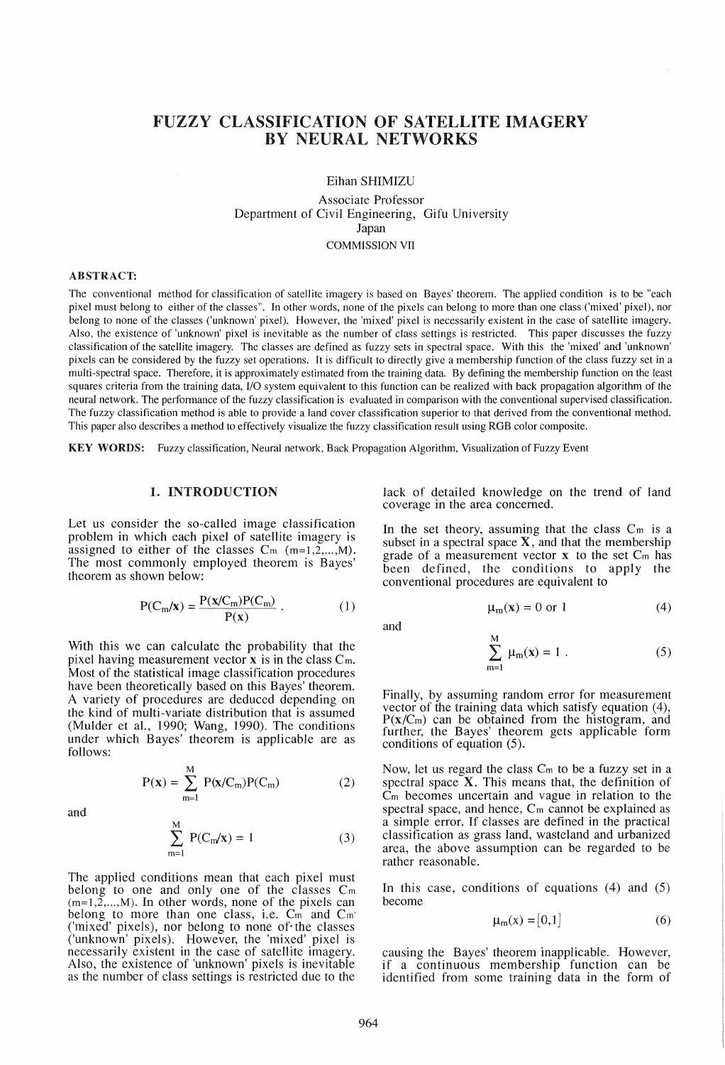# FUZZY CLASSIFICATION OF SATELLITE IMAGERY BY NEURAL NETWORKS

Eihan SHIMIZU

Associate Professor Department of Civil Engineering, Gifu University Japan COMMISSION VII

### ABSTRACT:

The conventional method for classification of satellite imagery is based on Bayes' theorem. The applied condition is to be "each pixel must belong to either of the classes". In other words, none of the pixels can belong to more than one class ('mixed' pixel), nor belong to none of the classes ('unknown' pixel). However, the 'mixed' pixel is necessarily existent in the case of satellite imagery. Also, the existence of 'unknown' pixel is inevitable as the number of class settings is restricted. This paper discusses the fuzzy classification of the satellite imagery. The classes are defined as fuzzy sets in spectral space. With this the 'mixed' and 'unknown' pixels can be considered by the fuzzy set operations. It is difficult to directly give a membership function of the class fuzzy set in a multi-spectral space. Therefore, it is approximately estimated from the training data. By defining the membership function on the least squares criteria from the training data, I/O system equivalent to this function can be realized with back propagation algorithm of the neural network. The performance of the fuzzy classification is evaluated in comparison with the conventional supervised classification. The fuzzy classification method is able to provide a land cover classification superior to that derived from the conventional method. This paper also describes a method to effectively visualize the fuzzy classification result using ROB color composite.

and

KEY WORDS: Fuzzy classification, Neural network, Back Propagation Algorithm, Visualization of Fuzzy Event

## 1. INTRODUCTION

Let us consider the so-called image classification problem in which each pixel of satellite imagery is assigned to either of the classes  $C_m$  (m=1,2,...,M). The most commonly employed theorem is Bayes' theorem as shown below:

$$
P(C_m/x) = \frac{P(x/C_m)P(C_m)}{P(x)}.
$$
 (1)

With this we can calculate the probability that the pixel having measurement vector  $\bf{x}$  is in the class  $\bf{C}$ m. Most of the statistical image classification procedures have been theoretically based on this Bayes' theorem. A variety of procedures are deduced depending on the kind of multi-variate distribution that is assumed (Mulder et aI., 1990; Wang, 1990). The conditions under which Bayes' theorem is applicable are as follows:

$$
P(\mathbf{x}) = \sum_{m=1}^{M} P(\mathbf{x}/C_m)P(C_m)
$$
 (2)

and

$$
\sum_{m=1}^{M} P(C_m/x) = 1
$$
 (3)

The applied conditions mean that each pixel must belong to one and only one of the classes Cm  $(m=1,2,...,M)$ . In other words, none of the pixels can belong to more than one class, i.e.  $C_m$  and  $C_m$ ('mixed' pixels), nor belong to none of' the classes ('unknown' pixels). However, the 'mixed' pixel is necessarily existent in the case of satellite imagery. Also, the existence of 'unknown' pixels is inevitable as the number of class settings is restricted due to the

lack of detailed knowledge on the trend of land coverage in the area concerned.

In the set theory, assuming that the class  $C_m$  is a subset in a spectral space  $X$ , and that the membership grade of a measurement vector x to the set Cm has been defined, the conditions to apply the conventional procedures are equivalent to

$$
\mu_{m}(x) = 0 \text{ or } 1 \tag{4}
$$

$$
\sum_{m=1}^{M} \mu_m(x) = 1 . \tag{5}
$$

Finally, by assuming random error for measurement vector of the training data which satisfy equation (4),  $P(x/C<sub>m</sub>)$  can be obtained from the histogram, and further, the Bayes' theorem gets applicable form conditions of equation (5).

Now, let us regard the class Cm to be a fuzzy set in a spectral space  $X$ . This means that, the definition of Cm becomes uncertain and vague in relation to the spectral space, and hence, C<sub>m</sub> cannot be explained as a simple error. If classes are defined in the practical classification as grass land, wasteland and urbanized area, the above assumption can be regarded to be rather reasonable.

In this case, conditions of equations (4) and (5) become

$$
\mu_m(x) = \begin{bmatrix} 0, 1 \end{bmatrix} \tag{6}
$$

causing the Bayes' theorem inapplicable. However, if a continuous membership function can be identified from some training data in the form of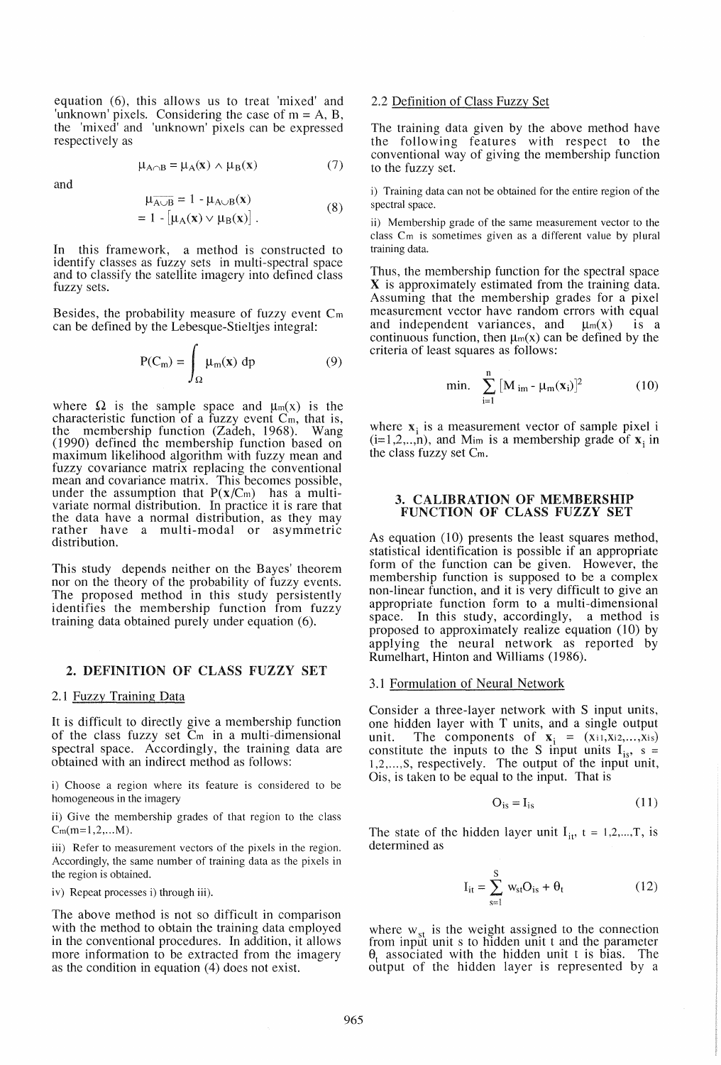equation (6), this allows us to treat 'mixed' and unknown' pixels. Considering the case of  $m = A$ , B, the 'mixed' and 'unknown' pixels can be expressed respectively as

$$
\mu_{A \cap B} = \mu_A(x) \land \mu_B(x) \tag{7}
$$

and

$$
\mu_{A \cup B} = 1 - \mu_{A \cup B}(\mathbf{x})
$$
  
= 1 - [\mu\_A(\mathbf{x}) \vee \mu\_B(\mathbf{x})]. (8)

In this framework, a method is constructed to identify classes as fuzzy sets in multi-spectral space and to classify the satellite imagery into defined class fuzzy sets.

Besides, the probability measure of fuzzy event Cm

can be defined by the Lebesgue-Stieltjes integral:  
\n
$$
P(C_m) = \int_{\Omega} \mu_m(x) dp
$$
\n(9)

where  $\Omega$  is the sample space and  $\mu_m(x)$  is the characteristic function of a fuzzy event  $\widetilde{\mathbf{C}}$ m, that is, the membership function (Zadeh, 1968). Wang (1990) defined the membership function based on maximum likelihood algorithm with fuzzy mean and fuzzy covariance matrix replacing the conventional mean and covariance matrix. This becomes possible, under the assumption that  $P(x/C_m)$  has a multivariate normal distribution. In practice it is rare that the data have a normal distribution, as they may rather have a multi-modal or asymmetric distribution.

This study depends neither on the Bayes' theorem nor on the theory of the probability of fuzzy events. The proposed method in this study persistently identifies the membership function from fuzzy training data obtained purely under equation (6).

#### 2. DEFINITION OF CLASS FUZZY SET

#### 2.1 Fuzzy Training Data

It is difficult to directly give a membership function of the class fuzzy set Cm in a multi-dimensional spectral space. Accordingly, the training data are obtained with an indirect method as follows:

i) Choose a region where its feature is considered to be homogeneous in the imagery

ii) Give the membership grades of that region to the class  $C_m(m=1,2,...M)$ .

iii) Refer to measurement vectors of the pixels in the region. Accordingly, the same number of training data as the pixels in the region is obtained.

iv) Repeat processes i) through iii).

The above method is not so difficult in comparison with the method to obtain the training data employed in the conventional procedures. In addition, it allows more information to be extracted from the imagery as the condition in equation (4) does not exist.

#### 2.2 Definition of Class Fuzzy Set

The training data given by the above method have the following features with respect to the conventional way of giving the membership function to the fuzzy set.

i) Training data can not be obtained for the entire region of the spectral space.

ii) Membership grade of the same measurement vector to the class  $C_m$  is sometimes given as a different value by plural training data.

Thus, the membership function for the spectral space X is approximately estimated from the training data. Assuming that the membership grades for a pixel measurement vector have random errors with equal<br>and independent variances, and  $\mu_m(x)$  is a and independent variances, and  $\mu_m(x)$  is a continuous function, then  $\mu_m(x)$  can be defined by the criteria of least squares as follows:

min. 
$$
\sum_{i=1}^{n} [M_{im} - \mu_m(x_i)]^2
$$
 (10)

where  $x_i$  is a measurement vector of sample pixel i  $(i=1,2,...,n)$ , and Mim is a membership grade of  $x_i$  in the class fuzzy set Cm.

### 3. CALIBRATION OF MEMBERSHIP FUNCTION OF CLASS FUZZY SET

As equation (10) presents the least squares method, statistical identification is possible if an appropriate form of the function can be given. However, the membership function is supposed to be a complex non-linear function, and it is very difficult to give an appropriate function form to a multi-dimensional space. In this study, accordingly, a method is proposed to approximately realize equation (10) by applying the neural network as reported by Rumelhart, Hinton and Williams (1986).

### 3.1 Formulation of Neural Network

Consider a three-layer network with S input units, one hidden layer with T units, and a single output unit. The components of  $\mathbf{x}_i = (x_{i1}, x_{i2}, \dots, x_{is})$ constitute the inputs to the S input units  $I_{is}$ , s = 1,2, ..., S, respectively. The output of the input unit, Ois, is taken to be equal to the input. That is

$$
O_{is} = I_{is} \tag{11}
$$

The state of the hidden layer unit  $I_{it}$ ,  $t = 1, 2, ..., T$ , is determined as

$$
I_{it} = \sum_{s=1}^{S} w_{st} O_{is} + \theta_t
$$
 (12)

where  $w_{st}$  is the weight assigned to the connection from input unit s to hidden unit t and the parameter  $\theta_t$  associated with the hidden unit t is bias. The output of the hidden layer is represented by a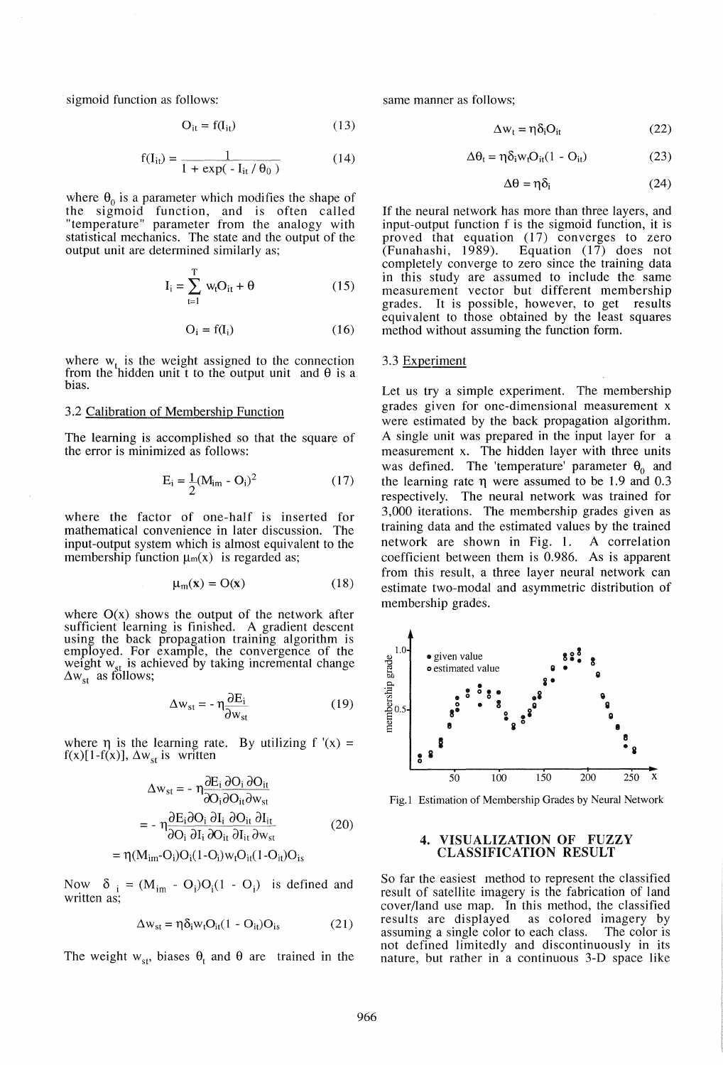sigmoid function as follows:

$$
O_{it} = f(I_{it})
$$
 (13)

$$
f(I_{it}) = \frac{1}{1 + \exp(-I_{it}/\theta_0)}
$$
 (14)

where  $\theta_0$  is a parameter which modifies the shape of the sigmoid function, and is often called "temperature" parameter from the analogy with statistical mechanics. The state and the output of the output unit are determined similarly as;

$$
I_i = \sum_{t=1}^{T} w_t O_{it} + \theta \qquad (15)
$$

$$
O_i = f(I_i) \tag{16}
$$

where  $w_t$  is the weight assigned to the connection from the hidden unit t to the output unit and  $\theta$  is a bias.

### 3.2 Calibration of Membership Function

The learning is accomplished so that the square of the error is minimized as follows:

$$
E_i = \frac{1}{2} (M_{im} - O_i)^2
$$
 (17)

where the factor of one-half is inserted for mathematical convenience in later discussion. The input-output system which is almost equivalent to the membership function  $\mu_m(x)$  is regarded as;

$$
\mu_m(x) = O(x) \tag{18}
$$

where  $O(x)$  shows the output of the network after sufficient learning is finished. A gradient descent using the back propagation training algorithm is employed. For example, the convergence of the weight  $w_{st}$  is achieved by taking incremental change  $\Delta w_{st}$  as follows;

$$
\Delta w_{st} = -\eta \frac{\partial E_i}{\partial w_{st}} \tag{19}
$$

where  $\eta$  is the learning rate. By utilizing f '(x) = f(x)[1-f(x)],  $\Delta w_{st}$  is written

$$
\Delta w_{st} = -\eta \frac{\partial E_i}{\partial Q_i \partial Q_{it}} \frac{\partial Q_{it}}{\partial w_{st}}
$$
  
= -\eta \frac{\partial E\_i}{\partial Q\_i} \frac{\partial Q\_i}{\partial I\_i} \frac{\partial Q\_{it}}{\partial Q\_{it}} \frac{\partial I\_{it}}{\partial I\_{it}}  
= \eta (M<sub>im</sub>-Q<sub>i</sub>)Q<sub>i</sub>(1-Q<sub>i</sub>)w<sub>t</sub>Q<sub>it</sub>(1-Q<sub>it</sub>)Q<sub>is</sub> (20)

Now  $\delta_i = (M_{im} - O_i)O_i(1 - O_i)$  is defined and written as;

$$
\Delta w_{st} = \eta \delta_i w_t O_{it} (1 - O_{it}) O_{is} \tag{21}
$$

The weight w<sub>st</sub>, biases  $\theta_t$  and  $\theta$  are trained in the

same manner as follows;

$$
\Delta w_t = \eta \delta_i O_{it} \tag{22}
$$

$$
\Delta \theta_t = \eta \delta_i w_t O_{it} (1 - O_{it})
$$
 (23)

$$
\Delta \theta = \eta \delta_i \tag{24}
$$

If the neural network has more than three layers, and input-output function f is the sigmoid function, it is proved that equation (17) converges to zero (Funahashi, 1989). Equation (17) does not completely converge to zero since the training data in this study are assumed to include the same measurement vector but different membership grades. It is possible, however, to get results equivalent to those obtained by the least squares method without assuming the function form.

## 3.3 Experiment

Let us try a simple experiment. The membership grades given for one-dimensional measurement x were estimated by the back propagation algorithm. A single unit was prepared in the input layer for a measurement x. The hidden layer with three units was defined. The 'temperature' parameter  $\theta_0$  and the learning rate  $\eta$  were assumed to be 1.9 and 0.3 respectively. The neural network was trained for 3,000 iterations. The membership grades given as training data and the estimated values by the trained network are shown in Fig. 1. A correlation coefficient between them is 0.986. As is apparent from this result, a three layer neural network can estimate two-modal and asymmetric distribution of membership grades.



Fig.l Estimation of Membership Grades by Neural Network

#### 4. VISUALIZATION OF FUZZY CLASSIFICATION RESULT

So far the easiest method to represent the classified result of satellite imagery is the fabrication of land cover/land use map. In this method, the classified results are displayed as colored imagery by assuming a single color to each class. The color is not defined limitedly and discontinuously in its nature, but rather in a continuous 3-D space like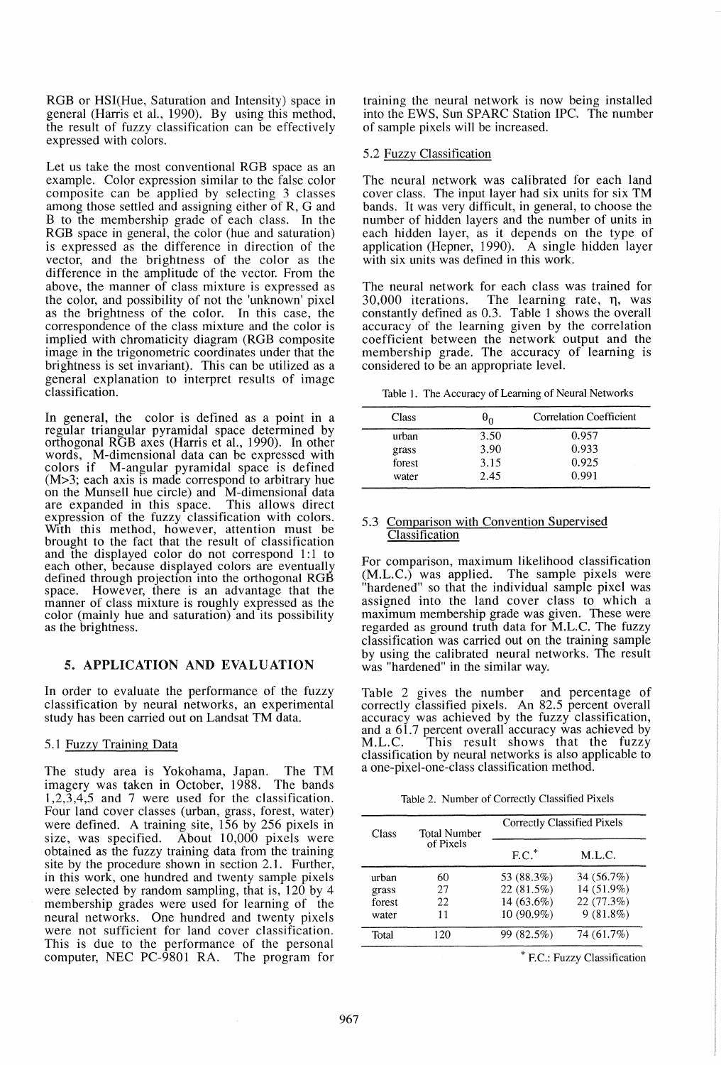RGB or HSI(Hue, Saturation and Intensity) space in general (Harris et aI., 1990). By using this method, the result of fuzzy classification can be effectively expressed with colors.

Let us take the most conventional RGB space as an example. Color expression similar to the false color composite can be applied by selecting 3 classes among those settled and assigning either of R, G and B to the membership grade of each class. In the RGB space in general, the color (hue and saturation) is expressed as the difference in direction of the vector, and the brightness of the color as the difference in the amplitude of the vector. From the above, the manner of class mixture is expressed as the color, and possibility of not the 'unknown' pixel as the brightness of the color. In this case, the correspondence of the class mixture and the color is implied with chromaticity diagram (RGB composite image in the trigonometric coordinates under that the brightness is set invariant). This can be utilized as a general explanation to interpret results of image classification.

In general, the color is defined as a point in a regular triangular pyramidal space determined by orthogonal RGB axes (Harris et aI., 1990). In other words, M-dimensional data can be expressed with colors if M-angular pyramidal space is defined (M>3; each axis is made correspond to arbitrary hue on the Munsell hue circle) and M-dimensional data are expanded in this space. This allows direct are expanded in this space. This allows direct expression of the fuzzy classification with colors. With this method, however, attention must be brought to the fact that the result of classification and the displayed color do not correspond 1:1 to each other, because displayed colors are eventually defined through projection into the orthogonal RGB space. However, there is an advantage that the manner of class mixture is roughly expressed as the color (mainly hue and saturation) and its possibility as the brightness.

## 5. APPLICATION AND EVALUATION

In order to evaluate the performance of the fuzzy classification by neural networks, an experimental study has been carried out on Landsat TM data.

### 5.1 Fuzzy Training Data

The study area is Yokohama, Japan. The TM imagery was taken in October, 1988. The bands 1,2,3,4,5 and 7 were used for the classification. Four land cover classes (urban, grass, forest, water) were defined. A training site, 156 by 256 pixels in size, was specified. About 10,000 pixels were obtained as the fuzzy training data from the training site by the procedure shown in section 2.1. Further, in this work, one hundred and twenty sample pixels were selected by random sampling, that is, 120 by 4 membership grades were used for learning of the neural networks. One hundred and twenty pixels were not sufficient for land cover classification. This is due to the performance of the personal computer, NEC PC-9801 RA. The program for

training the neural network is now being installed into the EWS, Sun SPARC Station IPC. The number of sample pixels will be increased.

## 5.2 Fuzzy Classification

The neural network was calibrated for each land cover class. The input layer had six units for six TM bands. It was very difficult, in general, to choose the number of hidden layers and the number of units in each hidden layer, as it depends on the type of application (Hepner, 1990). A single hidden layer with six units was defined in this work.

The neural network for each class was trained for  $30,000$  iterations. The learning rate,  $\eta$ , was constantly defined as 0.3. Table 1 shows the overall accuracy of the learning given by the correlation coefficient between the network output and the membership grade. The accuracy of learning is considered to be an appropriate level.

Table 1. The Accuracy of Learning of Neural Networks

| Class  | $\theta_0$ | <b>Correlation Coefficient</b> |
|--------|------------|--------------------------------|
| urban  | 3.50       | 0.957                          |
| grass  | 3.90       | 0.933                          |
| forest | 3.15       | 0.925                          |
| water  | 2.45       | 0.991                          |

#### 5.3 Comparison with Convention Supervised Classification

For comparison, maximum likelihood classification (M.L.C.) was applied. The sample pixels were "hardened" so that the individual sample pixel was assigned into the land cover class to which a maximum membership grade was given. These were regarded as ground truth data for M.L.C. The fuzzy classification was carried out on the training sample by using the calibrated neural networks. The result was "hardened" in the similar way.

Table 2 gives the number and percentage of correctly classified pixels. An 82.5 percent overall accuracy was achieved by the fuzzy classification, and a 61.7 percent overall accuracy was achieved by M.L.C. This result shows that the fuzzy classification by neural networks is also applicable to a one-pixel-one-class classification method.

Table 2. Number of Correctly Classified Pixels

| Class  | <b>Total Number</b> | <b>Correctly Classified Pixels</b> |             |  |
|--------|---------------------|------------------------------------|-------------|--|
|        | of Pixels           | $F.C.*$                            | M.L.C.      |  |
| urban  | 60                  | 53 (88.3%)                         | 34 (56.7%)  |  |
| grass  | 27                  | 22 (81.5%)                         | 14 (51.9%)  |  |
| forest | 22                  | 14 (63.6%)                         | 22 (77.3%)  |  |
| water  | 11                  | 10 (90.9%)                         | $9(81.8\%)$ |  |
| Total  | 120                 | 99 (82.5%)                         | 74 (61.7%)  |  |

\* EC.: Fuzzy Classification